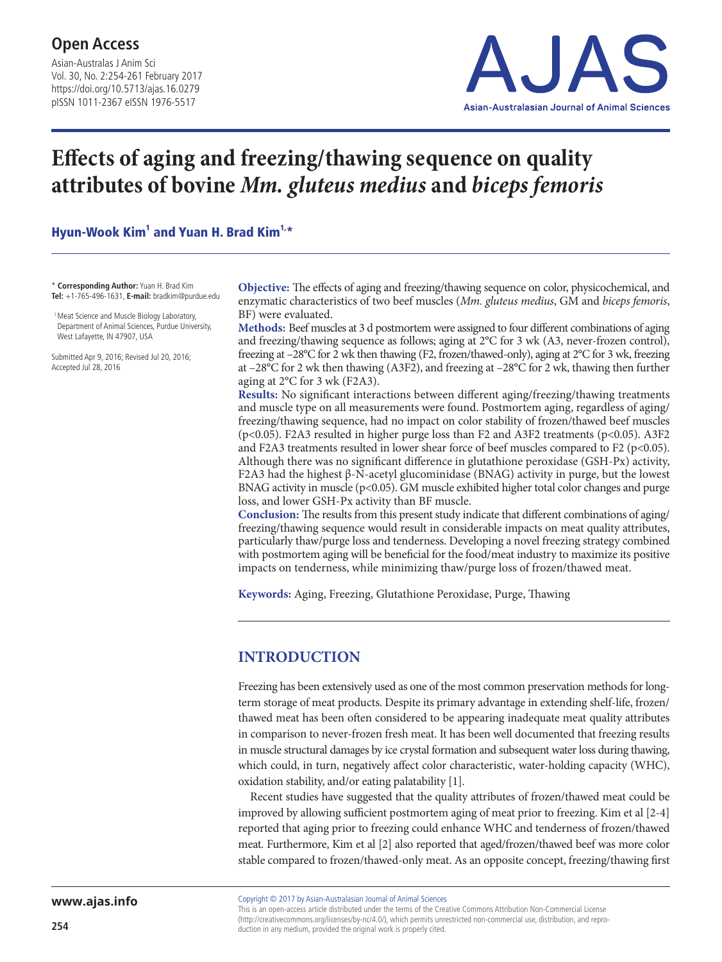Asian-Australas J Anim Sci Vol. 30, No. 2:254-261 February 2017 https://doi.org/10.5713/ajas.16.0279 pISSN 1011-2367 eISSN 1976-5517



# **Effects of aging and freezing/thawing sequence on quality attributes of bovine** *Mm. gluteus medius* **and** *biceps femoris*

Hyun-Wook Kim<sup>1</sup> and Yuan H. Brad Kim<sup>1,\*</sup>

\* **Corresponding Author:** Yuan H. Brad Kim **Tel:** +1-765-496-1631, **E-mail:** bradkim@purdue.edu

<sup>1</sup> Meat Science and Muscle Biology Laboratory, Department of Animal Sciences, Purdue University, West Lafayette, IN 47907, USA

Submitted Apr 9, 2016; Revised Jul 20, 2016; Accepted Jul 28, 2016

**Objective:** The effects of aging and freezing/thawing sequence on color, physicochemical, and enzymatic characteristics of two beef muscles (*Mm. gluteus medius*, GM and *biceps femoris*, BF) were evaluated.

**Methods:** Beef muscles at 3 d postmortem were assigned to four different combinations of aging and freezing/thawing sequence as follows; aging at 2°C for 3 wk (A3, never-frozen control), freezing at –28°C for 2 wk then thawing (F2, frozen/thawed-only), aging at 2°C for 3 wk, freezing at  $-28^{\circ}$ C for 2 wk then thawing (A3F2), and freezing at  $-28^{\circ}$ C for 2 wk, thawing then further aging at 2°C for 3 wk (F2A3).

**Results:** No significant interactions between different aging/freezing/thawing treatments and muscle type on all measurements were found. Postmortem aging, regardless of aging/ freezing/thawing sequence, had no impact on color stability of frozen/thawed beef muscles (p<0.05). F2A3 resulted in higher purge loss than F2 and A3F2 treatments (p<0.05). A3F2 and F2A3 treatments resulted in lower shear force of beef muscles compared to F2 (p<0.05). Although there was no significant difference in glutathione peroxidase (GSH-Px) activity, F2A3 had the highest β-N-acetyl glucominidase (BNAG) activity in purge, but the lowest BNAG activity in muscle ( $p<0.05$ ). GM muscle exhibited higher total color changes and purge loss, and lower GSH-Px activity than BF muscle.

**Conclusion:** The results from this present study indicate that different combinations of aging/ freezing/thawing sequence would result in considerable impacts on meat quality attributes, particularly thaw/purge loss and tenderness. Developing a novel freezing strategy combined with postmortem aging will be beneficial for the food/meat industry to maximize its positive impacts on tenderness, while minimizing thaw/purge loss of frozen/thawed meat.

**Keywords:** Aging, Freezing, Glutathione Peroxidase, Purge, Thawing

## **INTRODUCTION**

Freezing has been extensively used as one of the most common preservation methods for longterm storage of meat products. Despite its primary advantage in extending shelf-life, frozen/ thawed meat has been often considered to be appearing inadequate meat quality attributes in comparison to never-frozen fresh meat. It has been well documented that freezing results in muscle structural damages by ice crystal formation and subsequent water loss during thawing, which could, in turn, negatively affect color characteristic, water-holding capacity (WHC), oxidation stability, and/or eating palatability [1].

Recent studies have suggested that the quality attributes of frozen/thawed meat could be improved by allowing sufficient postmortem aging of meat prior to freezing. Kim et al [2-4] reported that aging prior to freezing could enhance WHC and tenderness of frozen/thawed meat. Furthermore, Kim et al [2] also reported that aged/frozen/thawed beef was more color stable compared to frozen/thawed-only meat. As an opposite concept, freezing/thawing first

Copyright © 2017 by Asian-Australasian Journal of Animal Sciences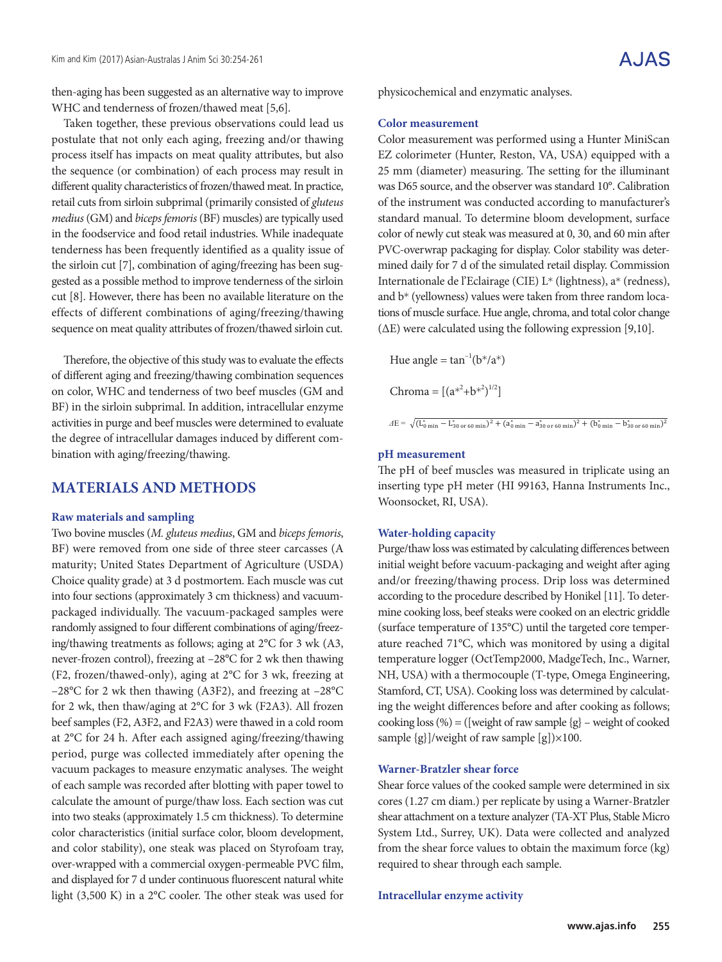then-aging has been suggested as an alternative way to improve WHC and tenderness of frozen/thawed meat [5,6].

Taken together, these previous observations could lead us postulate that not only each aging, freezing and/or thawing process itself has impacts on meat quality attributes, but also the sequence (or combination) of each process may result in different quality characteristics of frozen/thawed meat. In practice, retail cuts from sirloin subprimal (primarily consisted of *gluteus medius* (GM) and *biceps femoris* (BF) muscles) are typically used in the foodservice and food retail industries. While inadequate tenderness has been frequently identified as a quality issue of the sirloin cut [7], combination of aging/freezing has been suggested as a possible method to improve tenderness of the sirloin cut [8]. However, there has been no available literature on the effects of different combinations of aging/freezing/thawing sequence on meat quality attributes of frozen/thawed sirloin cut.

Therefore, the objective of this study was to evaluate the effects of different aging and freezing/thawing combination sequences on color, WHC and tenderness of two beef muscles (GM and BF) in the sirloin subprimal. In addition, intracellular enzyme activities in purge and beef muscles were determined to evaluate the degree of intracellular damages induced by different combination with aging/freezing/thawing.

### **MATERIALS AND METHODS**

#### **Raw materials and sampling**

Two bovine muscles (*M. gluteus medius*, GM and *biceps femoris*, BF) were removed from one side of three steer carcasses (A maturity; United States Department of Agriculture (USDA) Choice quality grade) at 3 d postmortem. Each muscle was cut into four sections (approximately 3 cm thickness) and vacuumpackaged individually. The vacuum-packaged samples were randomly assigned to four different combinations of aging/freezing/thawing treatments as follows; aging at 2°C for 3 wk (A3, never-frozen control), freezing at –28°C for 2 wk then thawing (F2, frozen/thawed-only), aging at 2°C for 3 wk, freezing at –28°C for 2 wk then thawing (A3F2), and freezing at –28°C for 2 wk, then thaw/aging at 2°C for 3 wk (F2A3). All frozen beef samples (F2, A3F2, and F2A3) were thawed in a cold room at 2°C for 24 h. After each assigned aging/freezing/thawing period, purge was collected immediately after opening the vacuum packages to measure enzymatic analyses. The weight of each sample was recorded after blotting with paper towel to calculate the amount of purge/thaw loss. Each section was cut into two steaks (approximately 1.5 cm thickness). To determine color characteristics (initial surface color, bloom development, and color stability), one steak was placed on Styrofoam tray, over-wrapped with a commercial oxygen-permeable PVC film, and displayed for 7 d under continuous fluorescent natural white light (3,500 K) in a 2°C cooler. The other steak was used for

physicochemical and enzymatic analyses.

#### **Color measurement**

Color measurement was performed using a Hunter MiniScan EZ colorimeter (Hunter, Reston, VA, USA) equipped with a 25 mm (diameter) measuring. The setting for the illuminant was D65 source, and the observer was standard 10°. Calibration of the instrument was conducted according to manufacturer's standard manual. To determine bloom development, surface color of newly cut steak was measured at 0, 30, and 60 min after PVC-overwrap packaging for display. Color stability was determined daily for 7 d of the simulated retail display. Commission Internationale de l'Eclairage (CIE) L\* (lightness), a\* (redness), and b\* (yellowness) values were taken from three random locations of muscle surface. Hue angle, chroma, and total color change (ΔE) were calculated using the following expression [9,10].

Hue angle =  $\tan^{-1}(b^*/a^*)$ 

Chroma =  $[(a^{*^2}+b^{*^2})^{1/2}]$ 

#### $\Delta E = \sqrt{(\mathcal{L}_{0\text{ min}}^* - \mathcal{L}_{30\text{ or }60\text{ min}}^*)^2 + (\mathcal{A}_{0\text{ min}}^* - \mathcal{A}_{30\text{ or }60\text{ min}}^*)^2 + (\mathcal{b}_{0\text{ min}}^* - \mathcal{b}_{30\text{ or }60\text{ min}}^*)^2}$

#### **pH measurement**

The pH of beef muscles was measured in triplicate using an inserting type pH meter (HI 99163, Hanna Instruments Inc., Woonsocket, RI, USA).

#### **Water-holding capacity**

initial weight before vacuum-packaging and weight after aging and/or freezing/thawing process. Drip loss was determined mine cooking loss, beef steaks were cooked on an electric griddle (surface temperature of 135°C) until the targeted core tempertemperature logger (OctTemp2000, MadgeTech, Inc., Warner, NH, USA) with a thermocouple (T-type, Omega Engineering, ing the weight differences before and after cooking as follows; cooking loss (%) = ([weight of raw sample {g} – weight of cooked  $1 \quad \text{C3}$  sample  $\frac{1}{2}$  sample  $\frac{1}{2}$  ray sample  $\frac{1}{2}$ Purge/thaw loss was estimated by calculating differences between according to the procedure described by Honikel [11]. To deterature reached 71°C, which was monitored by using a digital Stamford, CT, USA). Cooking loss was determined by calculatsample {g}]/weight of raw sample [g])×100.

#### **Warner-Bratzler shear force**

cores (1.27 cm diam.) per replicate by using a Warner-Bratzler shear attachment on a texture analyzer (TA-XT Plus, Stable Micro from the shear force values to obtain the maximum force (kg) required to shear through each sample. Shear force values of the cooked sample were determined in six System Ltd., Surrey, UK). Data were collected and analyzed

# **Intracellular enzyme activity**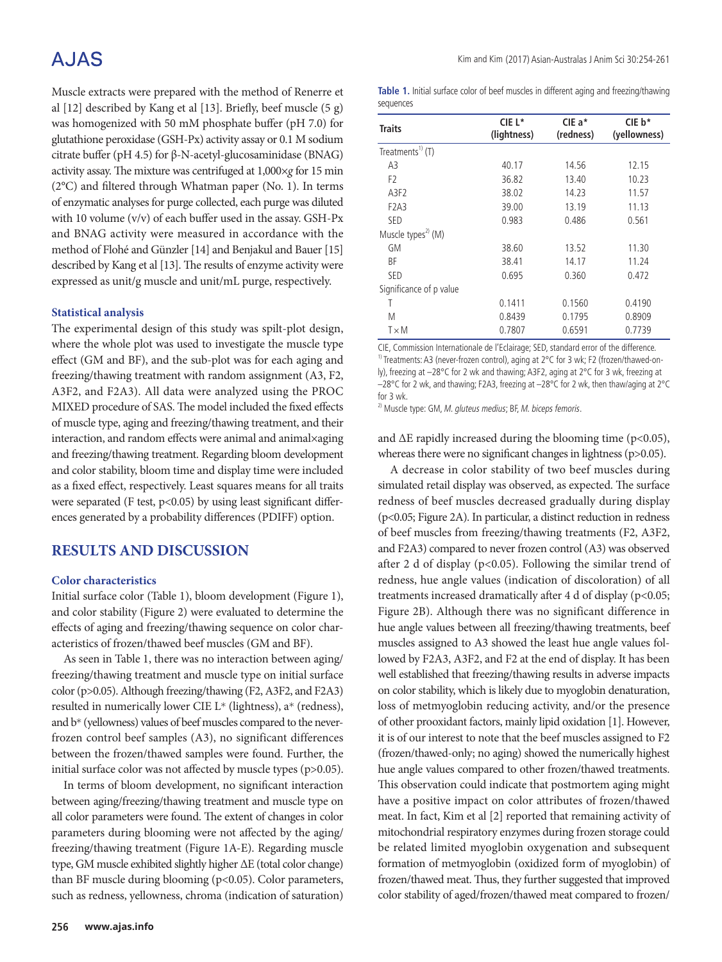# **AJAS**

Muscle extracts were prepared with the method of Renerre et al [12] described by Kang et al [13]. Briefly, beef muscle (5 g) was homogenized with 50 mM phosphate buffer (pH 7.0) for glutathione peroxidase (GSH-Px) activity assay or 0.1 M sodium citrate buffer (pH 4.5) for β-N-acetyl-glucosaminidase (BNAG) activity assay. The mixture was centrifuged at 1,000×*g* for 15 min (2°C) and filtered through Whatman paper (No. 1). In terms of enzymatic analyses for purge collected, each purge was diluted with 10 volume (v/v) of each buffer used in the assay. GSH-Px and BNAG activity were measured in accordance with the method of Flohé and Günzler [14] and Benjakul and Bauer [15] described by Kang et al [13]. The results of enzyme activity were expressed as unit/g muscle and unit/mL purge, respectively.

#### **Statistical analysis**

The experimental design of this study was spilt-plot design, where the whole plot was used to investigate the muscle type effect (GM and BF), and the sub-plot was for each aging and freezing/thawing treatment with random assignment (A3, F2, A3F2, and F2A3). All data were analyzed using the PROC MIXED procedure of SAS. The model included the fixed effects of muscle type, aging and freezing/thawing treatment, and their interaction, and random effects were animal and animal×aging and freezing/thawing treatment. Regarding bloom development and color stability, bloom time and display time were included as a fixed effect, respectively. Least squares means for all traits were separated (F test,  $p<0.05$ ) by using least significant differences generated by a probability differences (PDIFF) option.

## **RESULTS AND DISCUSSION**

#### **Color characteristics**

Initial surface color (Table 1), bloom development (Figure 1), and color stability (Figure 2) were evaluated to determine the effects of aging and freezing/thawing sequence on color characteristics of frozen/thawed beef muscles (GM and BF).

As seen in Table 1, there was no interaction between aging/ freezing/thawing treatment and muscle type on initial surface color (p>0.05). Although freezing/thawing (F2, A3F2, and F2A3) resulted in numerically lower CIE L\* (lightness), a\* (redness), and b\* (yellowness) values of beef muscles compared to the neverfrozen control beef samples (A3), no significant differences between the frozen/thawed samples were found. Further, the initial surface color was not affected by muscle types (p>0.05).

In terms of bloom development, no significant interaction between aging/freezing/thawing treatment and muscle type on all color parameters were found. The extent of changes in color parameters during blooming were not affected by the aging/ freezing/thawing treatment (Figure 1A-E). Regarding muscle type, GM muscle exhibited slightly higher ΔE (total color change) than BF muscle during blooming (p<0.05). Color parameters, such as redness, yellowness, chroma (indication of saturation) **Table 1.** Initial surface color of beef muscles in different aging and freezing/thawing sequences

| <b>Traits</b>                  | CIE L*<br>(lightness) | CIE a*<br>(redness) | $CIE b*$<br>(yellowness) |  |
|--------------------------------|-----------------------|---------------------|--------------------------|--|
| Treatments <sup>1)</sup> (T)   |                       |                     |                          |  |
| A3                             | 40.17                 | 14.56               | 12.15                    |  |
| F <sub>2</sub>                 | 36.82                 | 13.40               | 10.23                    |  |
| A3F2                           | 38.02                 | 14.23               | 11.57                    |  |
| F <sub>2</sub> A <sub>3</sub>  | 39.00                 | 13.19               | 11.13                    |  |
| SED                            | 0.983                 | 0.486               | 0.561                    |  |
| Muscle types <sup>2)</sup> (M) |                       |                     |                          |  |
| GM                             | 38.60                 | 13.52               | 11.30                    |  |
| ВF                             | 38.41                 | 14.17               | 11.24                    |  |
| SED                            | 0.695                 | 0.360               | 0.472                    |  |
| Significance of p value        |                       |                     |                          |  |
| Т                              | 0.1411                | 0.1560              | 0.4190                   |  |
| M                              | 0.8439                | 0.1795              | 0.8909                   |  |
| $T \times M$                   | 0.7807                | 0.6591              | 0.7739                   |  |

CIE, Commission Internationale de l'Eclairage; SED, standard error of the difference. 1) Treatments: A3 (never-frozen control), aging at 2°C for 3 wk; F2 (frozen/thawed-only), freezing at –28°C for 2 wk and thawing; A3F2, aging at 2°C for 3 wk, freezing at –28°C for 2 wk, and thawing; F2A3, freezing at –28°C for 2 wk, then thaw/aging at 2°C for 3 wk.

 $^{2)}$  Muscle type: GM, M. gluteus medius; BF, M. biceps femoris.

and  $\Delta E$  rapidly increased during the blooming time (p<0.05), whereas there were no significant changes in lightness (p>0.05).

A decrease in color stability of two beef muscles during simulated retail display was observed, as expected. The surface redness of beef muscles decreased gradually during display (p<0.05; Figure 2A). In particular, a distinct reduction in redness of beef muscles from freezing/thawing treatments (F2, A3F2, and F2A3) compared to never frozen control (A3) was observed after 2 d of display (p<0.05). Following the similar trend of redness, hue angle values (indication of discoloration) of all treatments increased dramatically after 4 d of display (p<0.05; Figure 2B). Although there was no significant difference in hue angle values between all freezing/thawing treatments, beef muscles assigned to A3 showed the least hue angle values followed by F2A3, A3F2, and F2 at the end of display. It has been well established that freezing/thawing results in adverse impacts on color stability, which is likely due to myoglobin denaturation, loss of metmyoglobin reducing activity, and/or the presence of other prooxidant factors, mainly lipid oxidation [1]. However, it is of our interest to note that the beef muscles assigned to F2 (frozen/thawed-only; no aging) showed the numerically highest hue angle values compared to other frozen/thawed treatments. This observation could indicate that postmortem aging might have a positive impact on color attributes of frozen/thawed meat. In fact, Kim et al [2] reported that remaining activity of mitochondrial respiratory enzymes during frozen storage could be related limited myoglobin oxygenation and subsequent formation of metmyoglobin (oxidized form of myoglobin) of frozen/thawed meat. Thus, they further suggested that improved color stability of aged/frozen/thawed meat compared to frozen/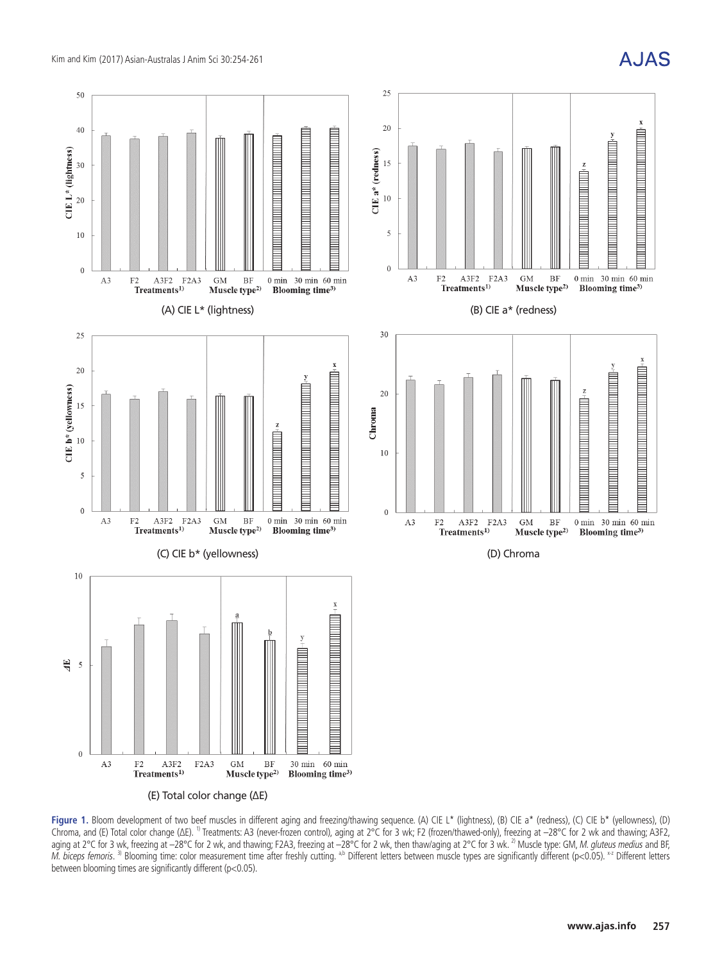



Figure 1. Bloom development of two beef muscles in different aging and freezing/thawing sequence. (A) CIE L<sup>\*</sup> (lightness), (B) CIE a<sup>\*</sup> (redness), (C) CIE b<sup>\*</sup> (yellowness), (D) Chroma, and (E) Total color change (ΔE). 1) Treatments: A3 (never-frozen control), aging at 2°C for 3 wk; F2 (frozen/thawed-only), freezing at –28°C for 2 wk and thawing; A3F2, aging at 2°C for 3 wk, freezing at –28°C for 2 wk, and thawing; F2A3, freezing at –28°C for 2 wk, then thaw/aging at 2°C for 3 wk. <sup>2)</sup> Muscle type: GM, *M. gluteus medius* and BF, M. biceps femoris. <sup>3)</sup> Blooming time: color measurement time after freshly cutting. <sup>a,b</sup> Different letters between muscle types are significantly different (p<0.05). <sup>x2</sup> Different letters between blooming times are significantly different (p<0.05).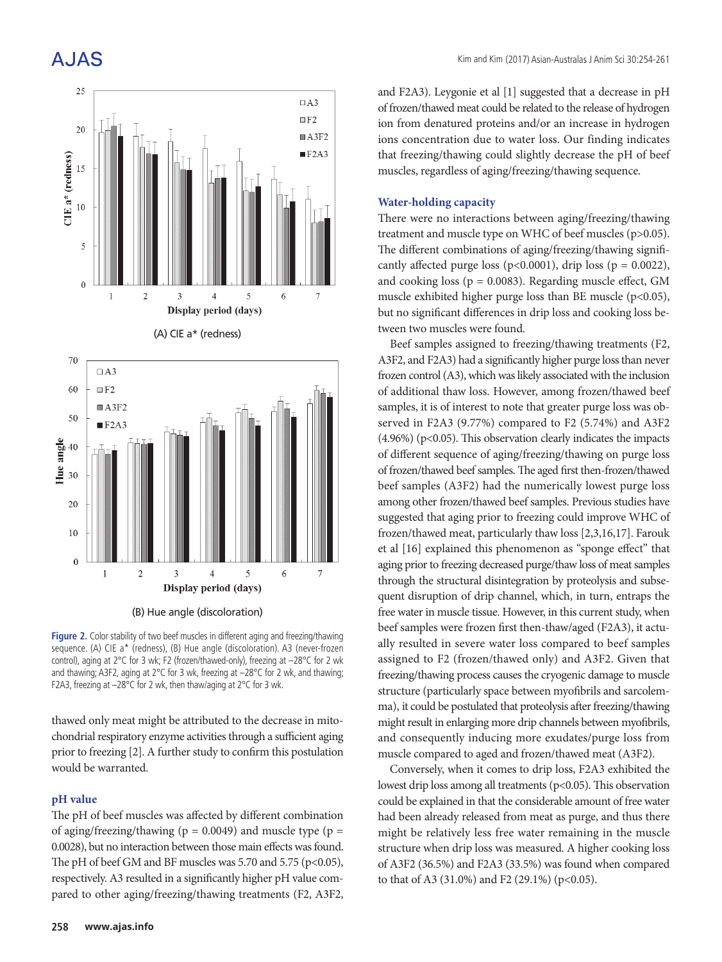

Figure 2. Color stability of two beef muscles in different aging and freezing/thawing sequence. (A) CIE a\* (redness), (B) Hue angle (discoloration). A3 (never-frozen control), aging at 2°C for 3 wk; F2 (frozen/thawed-only), freezing at –28°C for 2 wk and thawing; A3F2, aging at 2°C for 3 wk, freezing at –28°C for 2 wk, and thawing; F2A3, freezing at –28°C for 2 wk, then thaw/aging at 2°C for 3 wk.

thawed only meat might be attributed to the decrease in mitochondrial respiratory enzyme activities through a sufficient aging prior to freezing [2]. A further study to confirm this postulation would be warranted.

#### **pH value**

The pH of beef muscles was affected by different combination of aging/freezing/thawing ( $p = 0.0049$ ) and muscle type ( $p =$ 0.0028), but no interaction between those main effects was found. The pH of beef GM and BF muscles was 5.70 and 5.75 (p<0.05), respectively. A3 resulted in a significantly higher pH value compared to other aging/freezing/thawing treatments (F2, A3F2,

and F2A3). Leygonie et al [1] suggested that a decrease in pH of frozen/thawed meat could be related to the release of hydrogen ion from denatured proteins and/or an increase in hydrogen ions concentration due to water loss. Our finding indicates that freezing/thawing could slightly decrease the pH of beef muscles, regardless of aging/freezing/thawing sequence.

#### **Water-holding capacity**

There were no interactions between aging/freezing/thawing treatment and muscle type on WHC of beef muscles (p>0.05). The different combinations of aging/freezing/thawing significantly affected purge loss (p<0.0001), drip loss (p = 0.0022), and cooking loss ( $p = 0.0083$ ). Regarding muscle effect, GM muscle exhibited higher purge loss than BE muscle (p<0.05), but no significant differences in drip loss and cooking loss between two muscles were found.

Beef samples assigned to freezing/thawing treatments (F2, A3F2, and F2A3) had a significantly higher purge loss than never frozen control (A3), which was likely associated with the inclusion of additional thaw loss. However, among frozen/thawed beef samples, it is of interest to note that greater purge loss was observed in F2A3 (9.77%) compared to F2 (5.74%) and A3F2  $(4.96\%)$  (p<0.05). This observation clearly indicates the impacts of different sequence of aging/freezing/thawing on purge loss of frozen/thawed beef samples. The aged first then-frozen/thawed beef samples (A3F2) had the numerically lowest purge loss among other frozen/thawed beef samples. Previous studies have suggested that aging prior to freezing could improve WHC of frozen/thawed meat, particularly thaw loss [2,3,16,17]. Farouk et al [16] explained this phenomenon as "sponge effect" that aging prior to freezing decreased purge/thaw loss of meat samples through the structural disintegration by proteolysis and subsequent disruption of drip channel, which, in turn, entraps the free water in muscle tissue. However, in this current study, when beef samples were frozen first then-thaw/aged (F2A3), it actually resulted in severe water loss compared to beef samples assigned to F2 (frozen/thawed only) and A3F2. Given that freezing/thawing process causes the cryogenic damage to muscle structure (particularly space between myofibrils and sarcolemma), it could be postulated that proteolysis after freezing/thawing might result in enlarging more drip channels between myofibrils, and consequently inducing more exudates/purge loss from muscle compared to aged and frozen/thawed meat (A3F2).

Conversely, when it comes to drip loss, F2A3 exhibited the lowest drip loss among all treatments (p<0.05). This observation could be explained in that the considerable amount of free water had been already released from meat as purge, and thus there might be relatively less free water remaining in the muscle structure when drip loss was measured. A higher cooking loss of A3F2 (36.5%) and F2A3 (33.5%) was found when compared to that of A3 (31.0%) and F2 (29.1%) (p<0.05).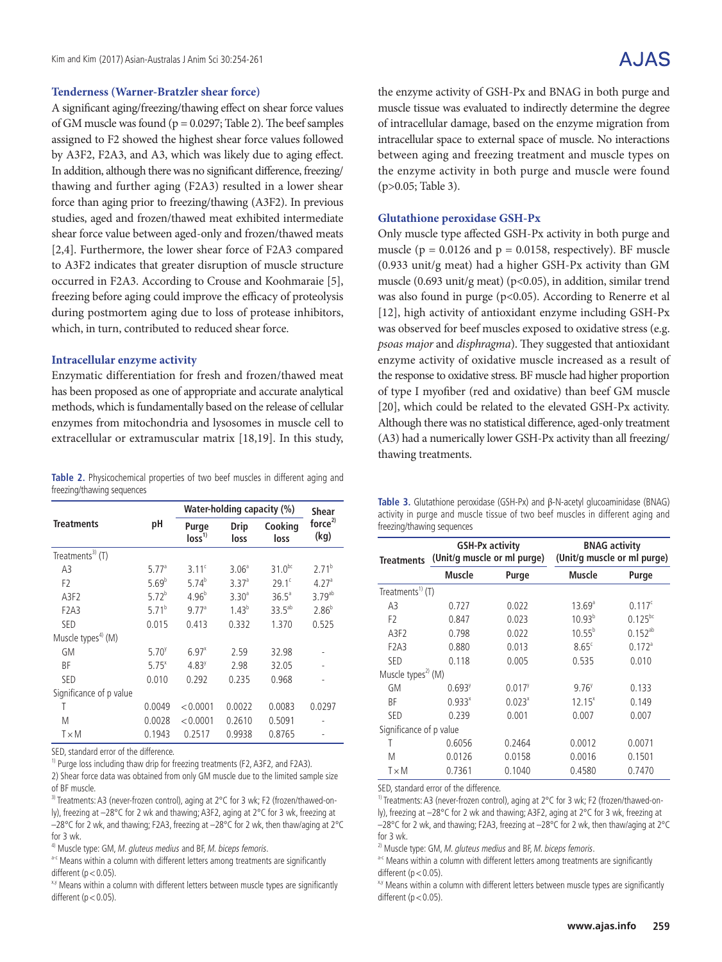# A.JAS

#### **Tenderness (Warner-Bratzler shear force)**

A significant aging/freezing/thawing effect on shear force values of GM muscle was found ( $p = 0.0297$ ; Table 2). The beef samples assigned to F2 showed the highest shear force values followed by A3F2, F2A3, and A3, which was likely due to aging effect. In addition, although there was no significant difference, freezing/ thawing and further aging (F2A3) resulted in a lower shear force than aging prior to freezing/thawing (A3F2). In previous studies, aged and frozen/thawed meat exhibited intermediate shear force value between aged-only and frozen/thawed meats [2,4]. Furthermore, the lower shear force of F2A3 compared to A3F2 indicates that greater disruption of muscle structure occurred in F2A3. According to Crouse and Koohmaraie [5], freezing before aging could improve the efficacy of proteolysis during postmortem aging due to loss of protease inhibitors, which, in turn, contributed to reduced shear force.

#### **Intracellular enzyme activity**

Enzymatic differentiation for fresh and frozen/thawed meat has been proposed as one of appropriate and accurate analytical methods, which is fundamentally based on the release of cellular enzymes from mitochondria and lysosomes in muscle cell to extracellular or extramuscular matrix [18,19]. In this study,

**Table 2.** Physicochemical properties of two beef muscles in different aging and freezing/thawing sequences

|                                |                   | Water-holding capacity (%) | <b>Shear</b>      |                 |                            |  |
|--------------------------------|-------------------|----------------------------|-------------------|-----------------|----------------------------|--|
| <b>Treatments</b>              | рH                | Purge<br>loss <sup>1</sup> | Drip<br>loss      | Cooking<br>loss | force <sup>2</sup><br>(kq) |  |
| Treatments <sup>3)</sup> $(T)$ |                   |                            |                   |                 |                            |  |
| A3                             | 5.77 <sup>a</sup> | 3.11 <sup>c</sup>          | 3.06 <sup>a</sup> | $31.0^{bc}$     | $2.71^{b}$                 |  |
| F <sub>2</sub>                 | $5.69^{b}$        | $5.74^{b}$                 | 3.37 <sup>a</sup> | $29.1^c$        | 4.27 <sup>a</sup>          |  |
| A3F2                           | 5.72 <sup>b</sup> | $4.96^{b}$                 | $3.30^{a}$        | $36.5^{\circ}$  | $3.79^{ab}$                |  |
| F <sub>2</sub> A <sub>3</sub>  | 5.71 <sup>b</sup> | $9.77$ <sup>a</sup>        | $1.43^{b}$        | $33.5^{ab}$     | $2.86^{b}$                 |  |
| <b>SED</b>                     | 0.015             | 0.413                      | 0.332             | 1.370           | 0.525                      |  |
| Muscle types <sup>4)</sup> (M) |                   |                            |                   |                 |                            |  |
| <b>GM</b>                      | $5.70^{y}$        | $6.97^{x}$                 | 2.59              | 32.98           |                            |  |
| ВF                             | $5.75^{x}$        | $4.83^y$                   | 2.98              | 32.05           |                            |  |
| <b>SED</b>                     | 0.010             | 0.292                      | 0.235             | 0.968           |                            |  |
| Significance of p value        |                   |                            |                   |                 |                            |  |
| Τ                              | 0.0049            | < 0.0001                   | 0.0022            | 0.0083          | 0.0297                     |  |
| M                              | 0.0028            | < 0.0001                   | 0.2610            | 0.5091          |                            |  |
| $T \times M$                   | 0.1943            | 0.2517                     | 0.9938            | 0.8765          |                            |  |

SED, standard error of the difference.

<sup>1)</sup> Purge loss including thaw drip for freezing treatments (F2, A3F2, and F2A3).

2) Shear force data was obtained from only GM muscle due to the limited sample size of BF muscle.

<sup>3)</sup> Treatments: A3 (never-frozen control), aging at 2°C for 3 wk; F2 (frozen/thawed-only), freezing at –28°C for 2 wk and thawing; A3F2, aging at 2°C for 3 wk, freezing at –28°C for 2 wk, and thawing; F2A3, freezing at –28°C for 2 wk, then thaw/aging at 2°C

for 3 wk.  $4)$  Muscle type: GM, M. gluteus medius and BF, M. biceps femoris.

a-c Means within a column with different letters among treatments are significantly different ( $p < 0.05$ ).

<sup>x,y</sup> Means within a column with different letters between muscle types are significantly different ( $p < 0.05$ ).

the enzyme activity of GSH-Px and BNAG in both purge and muscle tissue was evaluated to indirectly determine the degree of intracellular damage, based on the enzyme migration from intracellular space to external space of muscle. No interactions between aging and freezing treatment and muscle types on the enzyme activity in both purge and muscle were found (p>0.05; Table 3).

#### **Glutathione peroxidase GSH-Px**

Only muscle type affected GSH-Px activity in both purge and muscle ( $p = 0.0126$  and  $p = 0.0158$ , respectively). BF muscle (0.933 unit/g meat) had a higher GSH-Px activity than GM muscle (0.693 unit/g meat) ( $p$ <0.05), in addition, similar trend was also found in purge (p<0.05). According to Renerre et al [12], high activity of antioxidant enzyme including GSH-Px was observed for beef muscles exposed to oxidative stress (e.g. *psoas major* and *disphragma*). They suggested that antioxidant enzyme activity of oxidative muscle increased as a result of the response to oxidative stress. BF muscle had higher proportion of type I myofiber (red and oxidative) than beef GM muscle [20], which could be related to the elevated GSH-Px activity. Although there was no statistical difference, aged-only treatment (A3) had a numerically lower GSH-Px activity than all freezing/ thawing treatments.

|  |                            |  |  |  |  | Table 3. Glutathione peroxidase (GSH-Px) and $\beta$ -N-acetyl glucoaminidase (BNAG) |  |
|--|----------------------------|--|--|--|--|--------------------------------------------------------------------------------------|--|
|  |                            |  |  |  |  | activity in purge and muscle tissue of two beef muscles in different aging and       |  |
|  | freezing/thawing sequences |  |  |  |  |                                                                                      |  |

| <b>Treatments</b>              | <b>GSH-Px activity</b><br>(Unit/g muscle or ml purge) |                      | <b>BNAG activity</b><br>(Unit/g muscle or ml purge) |                      |  |  |  |  |
|--------------------------------|-------------------------------------------------------|----------------------|-----------------------------------------------------|----------------------|--|--|--|--|
|                                | Muscle                                                | Purge                | Muscle                                              | Purge                |  |  |  |  |
| Treatments <sup>1)</sup> (T)   |                                                       |                      |                                                     |                      |  |  |  |  |
| A <sub>3</sub>                 | 0.727                                                 | 0.022                | $13.69^{\circ}$                                     | 0.117c               |  |  |  |  |
| F <sub>2</sub>                 | 0.847                                                 | 0.023                | $10.93^{b}$                                         | $0.125^{bc}$         |  |  |  |  |
| A3F2                           | 0.798                                                 | 0.022                | $10.55^{b}$                                         | $0.152^{ab}$         |  |  |  |  |
| F <sub>2</sub> A <sub>3</sub>  | 0.880                                                 | 0.013                | $8.65^\circ$                                        | $0.172$ <sup>a</sup> |  |  |  |  |
| <b>SED</b>                     | 0.118                                                 | 0.005                | 0.535                                               | 0.010                |  |  |  |  |
| Muscle types <sup>2)</sup> (M) |                                                       |                      |                                                     |                      |  |  |  |  |
| GM                             | $0.693$ <sup>y</sup>                                  | $0.017$ <sup>y</sup> | $9.76^y$                                            | 0.133                |  |  |  |  |
| ВF                             | $0.933^{x}$                                           | $0.023^{x}$          | $12.15^{x}$                                         | 0.149                |  |  |  |  |
| <b>SED</b>                     | 0.239                                                 | 0.001                | 0.007                                               | 0.007                |  |  |  |  |
| Significance of p value        |                                                       |                      |                                                     |                      |  |  |  |  |
| Τ                              | 0.6056                                                | 0.2464               | 0.0012                                              | 0.0071               |  |  |  |  |
| М                              | 0.0126                                                | 0.0158               | 0.0016                                              | 0.1501               |  |  |  |  |
| T×M                            | 0.7361                                                | 0.1040               | 0.4580                                              | 0.7470               |  |  |  |  |

SED, standard error of the difference.

<sup>1)</sup> Treatments: A3 (never-frozen control), aging at 2°C for 3 wk; F2 (frozen/thawed-only), freezing at –28°C for 2 wk and thawing; A3F2, aging at 2°C for 3 wk, freezing at –28°C for 2 wk, and thawing; F2A3, freezing at –28°C for 2 wk, then thaw/aging at 2°C

for 3 wk.

 $^{2)}$  Muscle type: GM, M. gluteus medius and BF, M. biceps femoris.

a-c Means within a column with different letters among treatments are significantly different ( $p < 0.05$ ).

<sup>x,y</sup> Means within a column with different letters between muscle types are significantly different ( $p < 0.05$ ).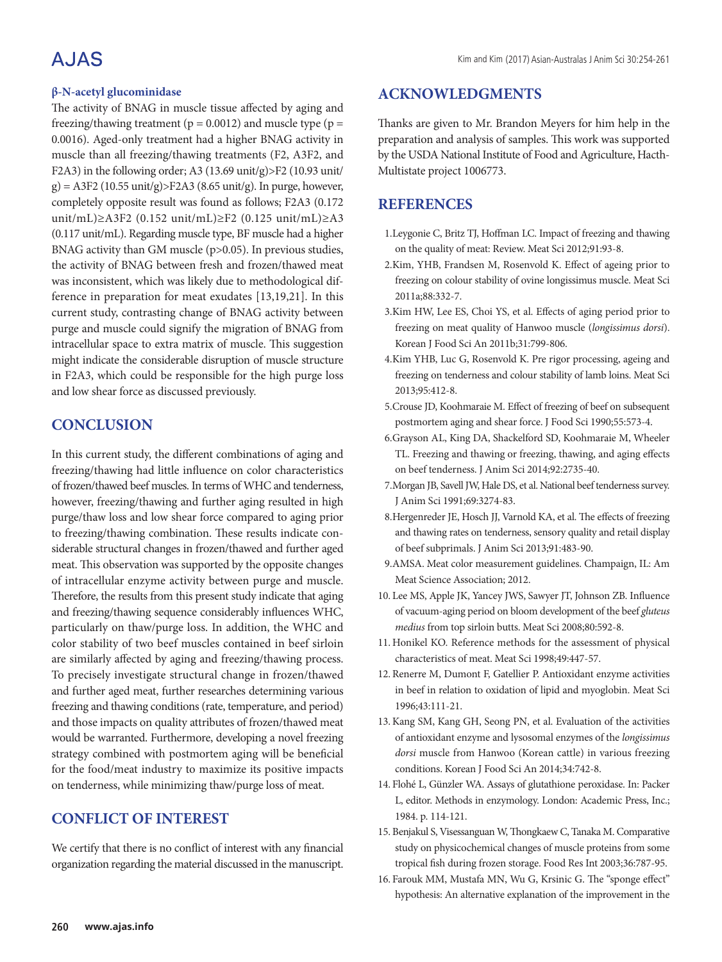# A.JAS

#### **β-N-acetyl glucominidase**

The activity of BNAG in muscle tissue affected by aging and freezing/thawing treatment ( $p = 0.0012$ ) and muscle type ( $p =$ 0.0016). Aged-only treatment had a higher BNAG activity in muscle than all freezing/thawing treatments (F2, A3F2, and F2A3) in the following order; A3 (13.69 unit/g)>F2 (10.93 unit/  $g$ ) = A3F2 (10.55 unit/g)>F2A3 (8.65 unit/g). In purge, however, completely opposite result was found as follows; F2A3 (0.172 unit/mL)≥A3F2 (0.152 unit/mL)≥F2 (0.125 unit/mL)≥A3 (0.117 unit/mL). Regarding muscle type, BF muscle had a higher BNAG activity than GM muscle (p>0.05). In previous studies, the activity of BNAG between fresh and frozen/thawed meat was inconsistent, which was likely due to methodological difference in preparation for meat exudates [13,19,21]. In this current study, contrasting change of BNAG activity between purge and muscle could signify the migration of BNAG from intracellular space to extra matrix of muscle. This suggestion might indicate the considerable disruption of muscle structure in F2A3, which could be responsible for the high purge loss and low shear force as discussed previously.

### **CONCLUSION**

In this current study, the different combinations of aging and freezing/thawing had little influence on color characteristics of frozen/thawed beef muscles. In terms of WHC and tenderness, however, freezing/thawing and further aging resulted in high purge/thaw loss and low shear force compared to aging prior to freezing/thawing combination. These results indicate considerable structural changes in frozen/thawed and further aged meat. This observation was supported by the opposite changes of intracellular enzyme activity between purge and muscle. Therefore, the results from this present study indicate that aging and freezing/thawing sequence considerably influences WHC, particularly on thaw/purge loss. In addition, the WHC and color stability of two beef muscles contained in beef sirloin are similarly affected by aging and freezing/thawing process. To precisely investigate structural change in frozen/thawed and further aged meat, further researches determining various freezing and thawing conditions (rate, temperature, and period) and those impacts on quality attributes of frozen/thawed meat would be warranted. Furthermore, developing a novel freezing strategy combined with postmortem aging will be beneficial for the food/meat industry to maximize its positive impacts on tenderness, while minimizing thaw/purge loss of meat.

## **CONFLICT OF INTEREST**

We certify that there is no conflict of interest with any financial organization regarding the material discussed in the manuscript.

### **ACKNOWLEDGMENTS**

Thanks are given to Mr. Brandon Meyers for him help in the preparation and analysis of samples. This work was supported by the USDA National Institute of Food and Agriculture, Hacth-Multistate project 1006773.

### **REFERENCES**

- 1.Leygonie C, Britz TJ, Hoffman LC. Impact of freezing and thawing on the quality of meat: Review. Meat Sci 2012;91:93-8.
- 2.Kim, YHB, Frandsen M, Rosenvold K. Effect of ageing prior to freezing on colour stability of ovine longissimus muscle. Meat Sci 2011a;88:332-7.
- 3.Kim HW, Lee ES, Choi YS, et al. Effects of aging period prior to freezing on meat quality of Hanwoo muscle (*longissimus dorsi*). Korean J Food Sci An 2011b;31:799-806.
- 4.Kim YHB, Luc G, Rosenvold K. Pre rigor processing, ageing and freezing on tenderness and colour stability of lamb loins. Meat Sci 2013;95:412-8.
- 5.Crouse JD, Koohmaraie M. Effect of freezing of beef on subsequent postmortem aging and shear force. J Food Sci 1990;55:573-4.
- 6.Grayson AL, King DA, Shackelford SD, Koohmaraie M, Wheeler TL. Freezing and thawing or freezing, thawing, and aging effects on beef tenderness. J Anim Sci 2014;92:2735-40.
- 7.Morgan JB, Savell JW, Hale DS, et al. National beef tenderness survey. J Anim Sci 1991;69:3274-83.
- 8.Hergenreder JE, Hosch JJ, Varnold KA, et al. The effects of freezing and thawing rates on tenderness, sensory quality and retail display of beef subprimals. J Anim Sci 2013;91:483-90.
- 9.AMSA. Meat color measurement guidelines. Champaign, IL: Am Meat Science Association; 2012.
- 10. Lee MS, Apple JK, Yancey JWS, Sawyer JT, Johnson ZB. Influence of vacuum-aging period on bloom development of the beef *gluteus medius* from top sirloin butts. Meat Sci 2008;80:592-8.
- 11. Honikel KO. Reference methods for the assessment of physical characteristics of meat. Meat Sci 1998;49:447-57.
- 12. Renerre M, Dumont F, Gatellier P. Antioxidant enzyme activities in beef in relation to oxidation of lipid and myoglobin. Meat Sci 1996;43:111-21.
- 13.Kang SM, Kang GH, Seong PN, et al. Evaluation of the activities of antioxidant enzyme and lysosomal enzymes of the *longissimus dorsi* muscle from Hanwoo (Korean cattle) in various freezing conditions. Korean J Food Sci An 2014;34:742-8.
- 14. Flohé L, Günzler WA. Assays of glutathione peroxidase. In: Packer L, editor. Methods in enzymology. London: Academic Press, Inc.; 1984. p. 114-121.
- 15. Benjakul S, Visessanguan W, Thongkaew C, Tanaka M. Comparative study on physicochemical changes of muscle proteins from some tropical fish during frozen storage. Food Res Int 2003;36:787-95.
- 16. Farouk MM, Mustafa MN, Wu G, Krsinic G. The "sponge effect" hypothesis: An alternative explanation of the improvement in the